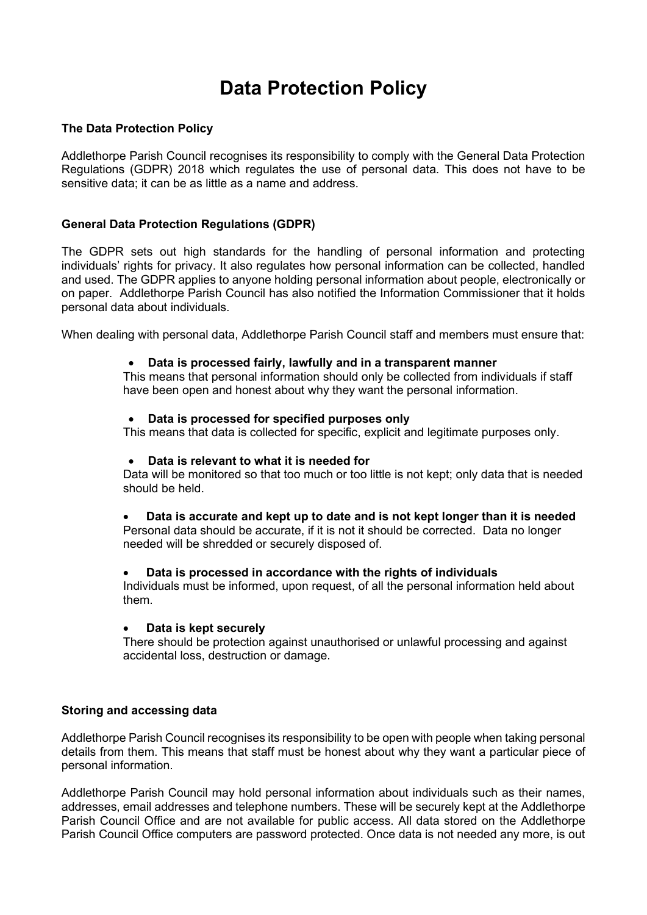# **Data Protection Policy**

# **The Data Protection Policy**

Addlethorpe Parish Council recognises its responsibility to comply with the General Data Protection Regulations (GDPR) 2018 which regulates the use of personal data. This does not have to be sensitive data; it can be as little as a name and address.

## **General Data Protection Regulations (GDPR)**

The GDPR sets out high standards for the handling of personal information and protecting individuals' rights for privacy. It also regulates how personal information can be collected, handled and used. The GDPR applies to anyone holding personal information about people, electronically or on paper. Addlethorpe Parish Council has also notified the Information Commissioner that it holds personal data about individuals.

When dealing with personal data, Addlethorpe Parish Council staff and members must ensure that:

#### • **Data is processed fairly, lawfully and in a transparent manner**

This means that personal information should only be collected from individuals if staff have been open and honest about why they want the personal information.

#### • **Data is processed for specified purposes only**

This means that data is collected for specific, explicit and legitimate purposes only.

#### • **Data is relevant to what it is needed for**

Data will be monitored so that too much or too little is not kept; only data that is needed should be held.

• **Data is accurate and kept up to date and is not kept longer than it is needed**

Personal data should be accurate, if it is not it should be corrected. Data no longer needed will be shredded or securely disposed of.

#### • **Data is processed in accordance with the rights of individuals**

Individuals must be informed, upon request, of all the personal information held about them.

#### • **Data is kept securely**

There should be protection against unauthorised or unlawful processing and against accidental loss, destruction or damage.

## **Storing and accessing data**

Addlethorpe Parish Council recognises its responsibility to be open with people when taking personal details from them. This means that staff must be honest about why they want a particular piece of personal information.

Addlethorpe Parish Council may hold personal information about individuals such as their names, addresses, email addresses and telephone numbers. These will be securely kept at the Addlethorpe Parish Council Office and are not available for public access. All data stored on the Addlethorpe Parish Council Office computers are password protected. Once data is not needed any more, is out